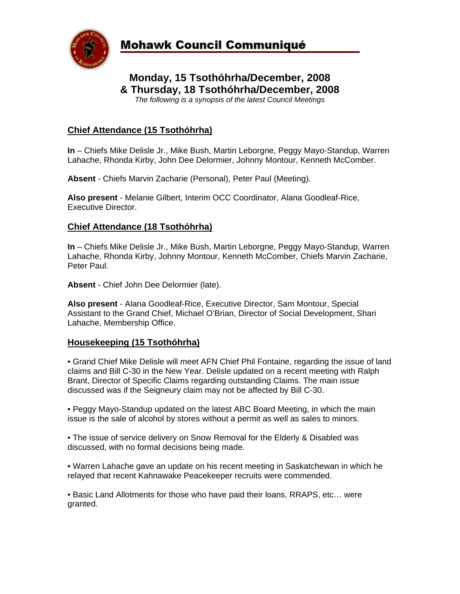

# **Monday, 15 Tsothóhrha/December, 2008 & Thursday, 18 Tsothóhrha/December, 2008**  *The following is a synopsis of the latest Council Meetings*

# **Chief Attendance (15 Tsothóhrha)**

**In** – Chiefs Mike Delisle Jr., Mike Bush, Martin Leborgne, Peggy Mayo-Standup, Warren Lahache, Rhonda Kirby, John Dee Delormier, Johnny Montour, Kenneth McComber.

**Absent** - Chiefs Marvin Zacharie (Personal), Peter Paul (Meeting).

**Also present** - Melanie Gilbert, Interim OCC Coordinator, Alana Goodleaf-Rice, Executive Director.

### **Chief Attendance (18 Tsothóhrha)**

**In** – Chiefs Mike Delisle Jr., Mike Bush, Martin Leborgne, Peggy Mayo-Standup, Warren Lahache, Rhonda Kirby, Johnny Montour, Kenneth McComber, Chiefs Marvin Zacharie, Peter Paul.

**Absent** - Chief John Dee Delormier (late).

**Also present** - Alana Goodleaf-Rice, Executive Director, Sam Montour, Special Assistant to the Grand Chief, Michael O'Brian, Director of Social Development, Shari Lahache, Membership Office.

## **Housekeeping (15 Tsothóhrha)**

• Grand Chief Mike Delisle will meet AFN Chief Phil Fontaine, regarding the issue of land claims and Bill C-30 in the New Year. Delisle updated on a recent meeting with Ralph Brant, Director of Specific Claims regarding outstanding Claims. The main issue discussed was if the Seigneury claim may not be affected by Bill C-30.

• Peggy Mayo-Standup updated on the latest ABC Board Meeting, in which the main issue is the sale of alcohol by stores without a permit as well as sales to minors.

• The issue of service delivery on Snow Removal for the Elderly & Disabled was discussed, with no formal decisions being made.

• Warren Lahache gave an update on his recent meeting in Saskatchewan in which he relayed that recent Kahnawake Peacekeeper recruits were commended.

• Basic Land Allotments for those who have paid their loans, RRAPS, etc… were granted.